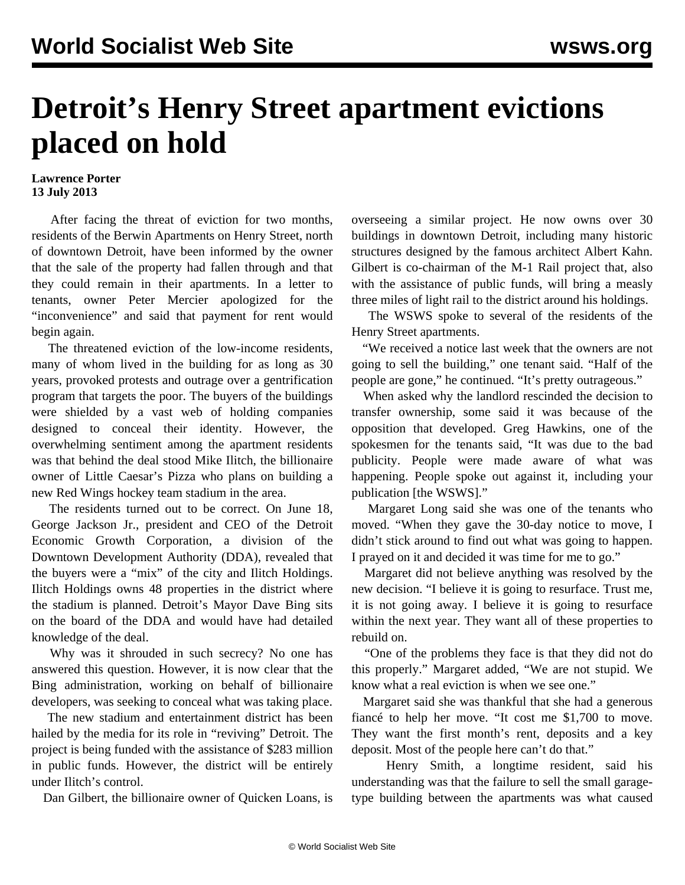## **Detroit's Henry Street apartment evictions placed on hold**

## **Lawrence Porter 13 July 2013**

 After facing the threat of eviction for two months, residents of the Berwin Apartments on Henry Street, north of downtown Detroit, have been informed by the owner that the sale of the property had fallen through and that they could remain in their apartments. In a letter to tenants, owner Peter Mercier apologized for the "inconvenience" and said that payment for rent would begin again.

 The threatened eviction of the low-income residents, many of whom lived in the building for as long as 30 years, provoked protests and outrage over a gentrification program that targets the poor. The buyers of the buildings were shielded by a vast web of holding companies designed to conceal their identity. However, the overwhelming sentiment among the apartment residents was that behind the deal stood Mike Ilitch, the billionaire owner of Little Caesar's Pizza who plans on building a new Red Wings hockey team stadium in the area.

 The residents turned out to be correct. On June 18, George Jackson Jr., president and CEO of the Detroit Economic Growth Corporation, a division of the Downtown Development Authority (DDA), revealed that the buyers were a "mix" of the city and Ilitch Holdings. Ilitch Holdings owns 48 properties in the district where the stadium is planned. Detroit's Mayor Dave Bing sits on the board of the DDA and would have had detailed knowledge of the deal.

 Why was it shrouded in such secrecy? No one has answered this question. However, it is now clear that the Bing administration, working on behalf of billionaire developers, was seeking to conceal what was taking place.

 The new stadium and entertainment district has been hailed by the media for its role in "reviving" Detroit. The project is being funded with the assistance of \$283 million in public funds. However, the district will be entirely under Ilitch's control.

Dan Gilbert, the billionaire owner of Quicken Loans, is

overseeing a similar project. He now owns over 30 buildings in downtown Detroit, including many historic structures designed by the famous architect Albert Kahn. Gilbert is co-chairman of the M-1 Rail project that, also with the assistance of public funds, will bring a measly three miles of light rail to the district around his holdings.

 The WSWS spoke to several of the residents of the Henry Street apartments.

 "We received a notice last week that the owners are not going to sell the building," one tenant said. "Half of the people are gone," he continued. "It's pretty outrageous."

 When asked why the landlord rescinded the decision to transfer ownership, some said it was because of the opposition that developed. Greg Hawkins, one of the spokesmen for the tenants said, "It was due to the bad publicity. People were made aware of what was happening. People spoke out against it, including your publication [the WSWS]."

 Margaret Long said she was one of the tenants who moved. "When they gave the 30-day notice to move, I didn't stick around to find out what was going to happen. I prayed on it and decided it was time for me to go."

 Margaret did not believe anything was resolved by the new decision. "I believe it is going to resurface. Trust me, it is not going away. I believe it is going to resurface within the next year. They want all of these properties to rebuild on.

 "One of the problems they face is that they did not do this properly." Margaret added, "We are not stupid. We know what a real eviction is when we see one."

 Margaret said she was thankful that she had a generous fiancé to help her move. "It cost me \$1,700 to move. They want the first month's rent, deposits and a key deposit. Most of the people here can't do that."

 Henry Smith, a longtime resident, said his understanding was that the failure to sell the small garagetype building between the apartments was what caused